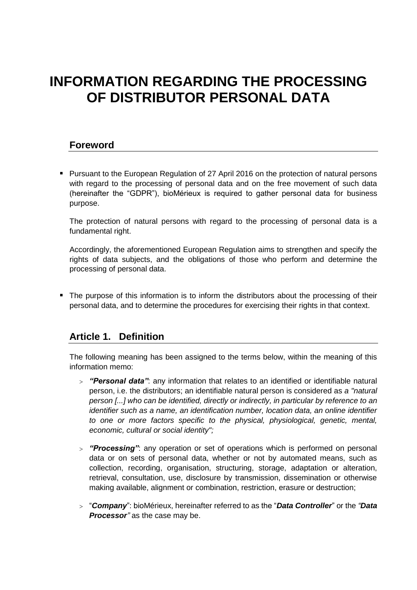# **INFORMATION REGARDING THE PROCESSING OF DISTRIBUTOR PERSONAL DATA**

### **Foreword**

**Pursuant to the European Regulation of 27 April 2016 on the protection of natural persons** with regard to the processing of personal data and on the free movement of such data (hereinafter the "GDPR"), bioMérieux is required to gather personal data for business purpose.

The protection of natural persons with regard to the processing of personal data is a fundamental right.

Accordingly, the aforementioned European Regulation aims to strengthen and specify the rights of data subjects, and the obligations of those who perform and determine the processing of personal data.

 The purpose of this information is to inform the distributors about the processing of their personal data, and to determine the procedures for exercising their rights in that context.

### **Article 1. Definition**

The following meaning has been assigned to the terms below, within the meaning of this information memo:

- *"Personal data"*: any information that relates to an identified or identifiable natural person, i.e. the distributors; an identifiable natural person is considered as *a "natural person [...] who can be identified, directly or indirectly, in particular by reference to an identifier such as a name, an identification number, location data, an online identifier to one or more factors specific to the physical, physiological, genetic, mental, economic, cultural or social identity";*
- *"Processing"*: any operation or set of operations which is performed on personal data or on sets of personal data, whether or not by automated means, such as collection, recording, organisation, structuring, storage, adaptation or alteration, retrieval, consultation, use, disclosure by transmission, dissemination or otherwise making available, alignment or combination, restriction, erasure or destruction;
- "*Company*": bioMérieux, hereinafter referred to as the "*Data Controller*" or the *"Data Processor"* as the case may be.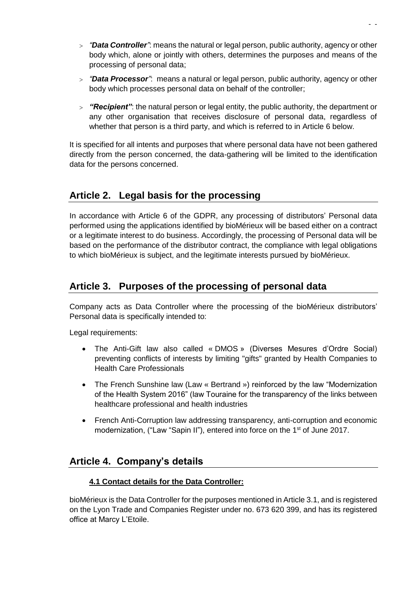*"Data Controller"*: means the natural or legal person, public authority, agency or other body which, alone or jointly with others, determines the purposes and means of the processing of personal data;

- -

- *"Data Processor"*: means a natural or legal person, public authority, agency or other body which processes personal data on behalf of the controller;
- *"Recipient"*: the natural person or legal entity, the public authority, the department or any other organisation that receives disclosure of personal data, regardless of whether that person is a third party, and which is referred to in Article 6 below.

It is specified for all intents and purposes that where personal data have not been gathered directly from the person concerned, the data-gathering will be limited to the identification data for the persons concerned.

# **Article 2. Legal basis for the processing**

In accordance with Article 6 of the GDPR, any processing of distributors' Personal data performed using the applications identified by bioMérieux will be based either on a contract or a legitimate interest to do business. Accordingly, the processing of Personal data will be based on the performance of the distributor contract, the compliance with legal obligations to which bioMérieux is subject, and the legitimate interests pursued by bioMérieux.

### **Article 3. Purposes of the processing of personal data**

Company acts as Data Controller where the processing of the bioMérieux distributors' Personal data is specifically intended to:

Legal requirements:

- The Anti-Gift law also called « DMOS » (Diverses Mesures d'Ordre Social) preventing conflicts of interests by limiting "gifts" granted by Health Companies to Health Care Professionals
- The French Sunshine law (Law « Bertrand ») reinforced by the law "Modernization of the Health System 2016" (law Touraine for the transparency of the links between healthcare professional and health industries
- French Anti-Corruption law addressing transparency, anti-corruption and economic modernization, ("Law "Sapin II"), entered into force on the 1<sup>st</sup> of June 2017.

### **Article 4. Company's details**

#### **4.1 Contact details for the Data Controller:**

bioMérieux is the Data Controller for the purposes mentioned in Article 3.1, and is registered on the Lyon Trade and Companies Register under no. 673 620 399, and has its registered office at Marcy L'Etoile.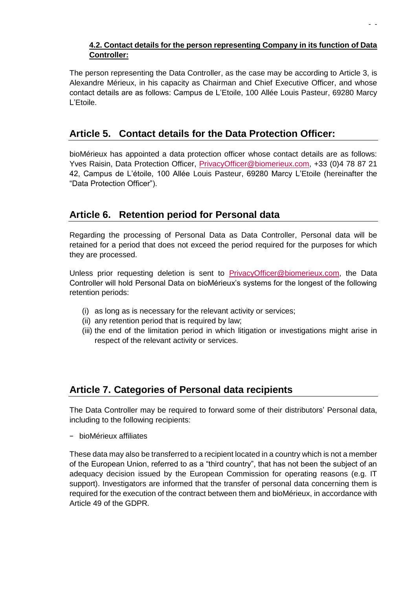#### **4.2. Contact details for the person representing Company in its function of Data Controller:**

The person representing the Data Controller, as the case may be according to Article 3, is Alexandre Mérieux, in his capacity as Chairman and Chief Executive Officer, and whose contact details are as follows: Campus de L'Etoile, 100 Allée Louis Pasteur, 69280 Marcy L'Etoile.

## **Article 5. Contact details for the Data Protection Officer:**

bioMérieux has appointed a data protection officer whose contact details are as follows: Yves Raisin, Data Protection Officer, [PrivacyOfficer@biomerieux.com,](mailto:privacyofficer@biomerieux.com) +33 (0)4 78 87 21 42, Campus de L'étoile, 100 Allée Louis Pasteur, 69280 Marcy L'Etoile (hereinafter the "Data Protection Officer").

## **Article 6. Retention period for Personal data**

Regarding the processing of Personal Data as Data Controller, Personal data will be retained for a period that does not exceed the period required for the purposes for which they are processed.

Unless prior requesting deletion is sent to [PrivacyOfficer@biomerieux.com,](mailto:PrivacyOfficer@biomerieux.com) the Data Controller will hold Personal Data on bioMérieux's systems for the longest of the following retention periods:

- (i) as long as is necessary for the relevant activity or services;
- (ii) any retention period that is required by law;
- (iii) the end of the limitation period in which litigation or investigations might arise in respect of the relevant activity or services.

# **Article 7. Categories of Personal data recipients**

The Data Controller may be required to forward some of their distributors' Personal data, including to the following recipients:

− bioMérieux affiliates

These data may also be transferred to a recipient located in a country which is not a member of the European Union, referred to as a "third country", that has not been the subject of an adequacy decision issued by the European Commission for operating reasons (e.g. IT support). Investigators are informed that the transfer of personal data concerning them is required for the execution of the contract between them and bioMérieux, in accordance with Article 49 of the GDPR*.*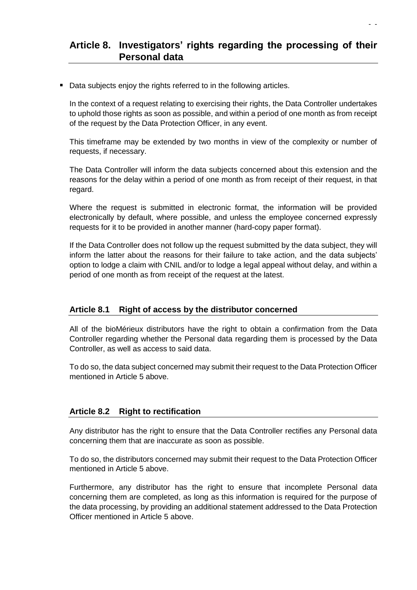### **Article 8. Investigators' rights regarding the processing of their Personal data**

- -

Data subjects enjoy the rights referred to in the following articles.

In the context of a request relating to exercising their rights, the Data Controller undertakes to uphold those rights as soon as possible, and within a period of one month as from receipt of the request by the Data Protection Officer, in any event.

This timeframe may be extended by two months in view of the complexity or number of requests, if necessary.

The Data Controller will inform the data subjects concerned about this extension and the reasons for the delay within a period of one month as from receipt of their request, in that regard.

Where the request is submitted in electronic format, the information will be provided electronically by default, where possible, and unless the employee concerned expressly requests for it to be provided in another manner (hard-copy paper format).

If the Data Controller does not follow up the request submitted by the data subject, they will inform the latter about the reasons for their failure to take action, and the data subjects' option to lodge a claim with CNIL and/or to lodge a legal appeal without delay, and within a period of one month as from receipt of the request at the latest.

#### **Article 8.1 Right of access by the distributor concerned**

All of the bioMérieux distributors have the right to obtain a confirmation from the Data Controller regarding whether the Personal data regarding them is processed by the Data Controller, as well as access to said data.

To do so, the data subject concerned may submit their request to the Data Protection Officer mentioned in Article 5 above.

#### **Article 8.2 Right to rectification**

Any distributor has the right to ensure that the Data Controller rectifies any Personal data concerning them that are inaccurate as soon as possible.

To do so, the distributors concerned may submit their request to the Data Protection Officer mentioned in Article 5 above.

Furthermore, any distributor has the right to ensure that incomplete Personal data concerning them are completed, as long as this information is required for the purpose of the data processing, by providing an additional statement addressed to the Data Protection Officer mentioned in Article 5 above.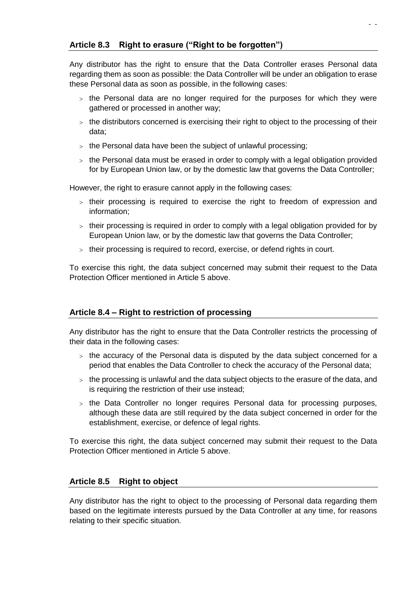Any distributor has the right to ensure that the Data Controller erases Personal data regarding them as soon as possible: the Data Controller will be under an obligation to erase these Personal data as soon as possible, in the following cases:

- -

- $>$  the Personal data are no longer required for the purposes for which they were gathered or processed in another way;
- $>$  the distributors concerned is exercising their right to object to the processing of their data;
- $>$  the Personal data have been the subject of unlawful processing;
- $>$  the Personal data must be erased in order to comply with a legal obligation provided for by European Union law, or by the domestic law that governs the Data Controller;

However, the right to erasure cannot apply in the following cases:

- $>$  their processing is required to exercise the right to freedom of expression and information;
- $>$  their processing is required in order to comply with a legal obligation provided for by European Union law, or by the domestic law that governs the Data Controller;
- $>$  their processing is required to record, exercise, or defend rights in court.

To exercise this right, the data subject concerned may submit their request to the Data Protection Officer mentioned in Article 5 above.

#### **Article 8.4 – Right to restriction of processing**

Any distributor has the right to ensure that the Data Controller restricts the processing of their data in the following cases:

- $>$  the accuracy of the Personal data is disputed by the data subject concerned for a period that enables the Data Controller to check the accuracy of the Personal data;
- $>$  the processing is unlawful and the data subject objects to the erasure of the data, and is requiring the restriction of their use instead;
- $>$  the Data Controller no longer requires Personal data for processing purposes, although these data are still required by the data subject concerned in order for the establishment, exercise, or defence of legal rights.

To exercise this right, the data subject concerned may submit their request to the Data Protection Officer mentioned in Article 5 above.

#### **Article 8.5 Right to object**

Any distributor has the right to object to the processing of Personal data regarding them based on the legitimate interests pursued by the Data Controller at any time, for reasons relating to their specific situation.